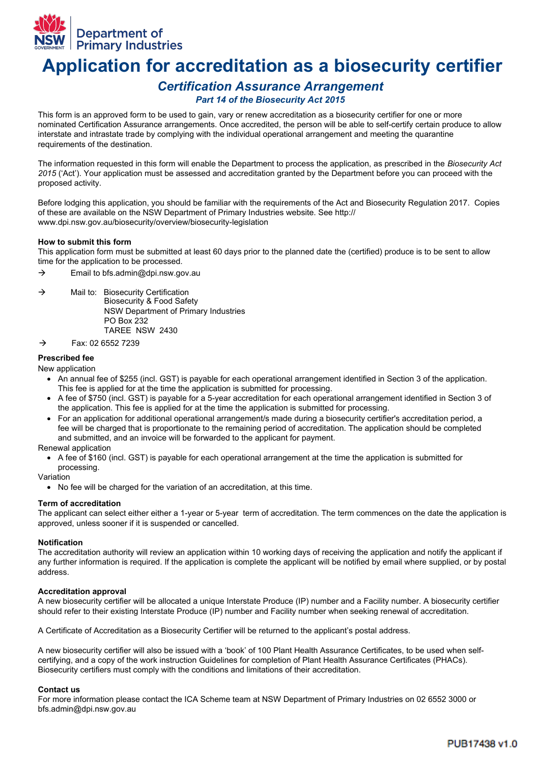

# **Application for accreditation as a biosecurity certifier**

# *Certification Assurance Arrangement*

## *Part 14 of the Biosecurity Act 2015*

This form is an approved form to be used to gain, vary or renew accreditation as a biosecurity certifier for one or more nominated Certification Assurance arrangements. Once accredited, the person will be able to self-certify certain produce to allow interstate and intrastate trade by complying with the individual operational arrangement and meeting the quarantine requirements of the destination.

The information requested in this form will enable the Department to process the application, as prescribed in the *Biosecurity Act 2015* ('Act'). Your application must be assessed and accreditation granted by the Department before you can proceed with the proposed activity.

Before lodging this application, you should be familiar with the requirements of the Act and Biosecurity Regulation 2017. Copies of these are available on the NSW Department of Primary Industries website. See http:// www.dpi.nsw.gov.au/biosecurity/overview/biosecurity-legislation

#### **How to submit this form**

This application form must be submitted at least 60 days prior to the planned date the (certified) produce is to be sent to allow time for the application to be processed.

- $\rightarrow$  Email to bfs.admin@dpi.nsw.gov.au
- $\rightarrow$  Mail to: Biosecurity Certification Biosecurity & Food Safety NSW Department of Primary Industries PO Box 232 TAREE NSW 2430
- $\rightarrow$  Fax: 02 6552 7239

#### **Prescribed fee**

New application

- An annual fee of \$255 (incl. GST) is payable for each operational arrangement identified in Section 3 of the application. This fee is applied for at the time the application is submitted for processing.
- A fee of \$750 (incl. GST) is payable for a 5-year accreditation for each operational arrangement identified in Section 3 of the application. This fee is applied for at the time the application is submitted for processing.
- For an application for additional operational arrangement/s made during a biosecurity certifier's accreditation period, a fee will be charged that is proportionate to the remaining period of accreditation. The application should be completed and submitted, and an invoice will be forwarded to the applicant for payment.

Renewal application

• A fee of \$160 (incl. GST) is payable for each operational arrangement at the time the application is submitted for processing.

Variation

• No fee will be charged for the variation of an accreditation, at this time.

#### **Term of accreditation**

The applicant can select either either a 1-year or 5-year term of accreditation. The term commences on the date the application is approved, unless sooner if it is suspended or cancelled.

#### **Notification**

The accreditation authority will review an application within 10 working days of receiving the application and notify the applicant if any further information is required. If the application is complete the applicant will be notified by email where supplied, or by postal address.

#### **Accreditation approval**

A new biosecurity certifier will be allocated a unique Interstate Produce (IP) number and a Facility number. A biosecurity certifier should refer to their existing Interstate Produce (IP) number and Facility number when seeking renewal of accreditation.

A Certificate of Accreditation as a Biosecurity Certifier will be returned to the applicant's postal address.

A new biosecurity certifier will also be issued with a 'book' of 100 Plant Health Assurance Certificates, to be used when selfcertifying, and a copy of the work instruction Guidelines for completion of Plant Health Assurance Certificates (PHACs). Biosecurity certifiers must comply with the conditions and limitations of their accreditation.

#### **Contact us**

For more information please contact the ICA Scheme team at NSW Department of Primary Industries on 02 6552 3000 or bfs.admin@dpi.nsw.gov.au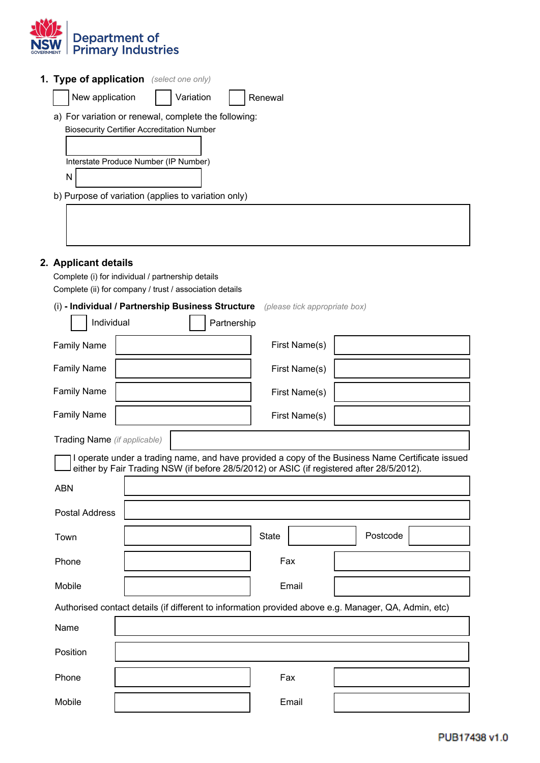

|   | <b>1. Type of application</b> (select one only)      |           |  |         |
|---|------------------------------------------------------|-----------|--|---------|
|   | New application                                      | Variation |  | Renewal |
|   | a) For variation or renewal, complete the following: |           |  |         |
|   | <b>Biosecurity Certifier Accreditation Number</b>    |           |  |         |
|   |                                                      |           |  |         |
|   | Interstate Produce Number (IP Number)                |           |  |         |
| N |                                                      |           |  |         |
|   | b) Purpose of variation (applies to variation only)  |           |  |         |
|   |                                                      |           |  |         |

## **2. Applicant details**

Complete (i) for individual / partnership details Complete (ii) for company / trust / association details

## (i) **- Individual / Partnership Business Structure** *(please tick appropriate box)*

| Individual                   | Partnership   |  |
|------------------------------|---------------|--|
| <b>Family Name</b>           | First Name(s) |  |
| <b>Family Name</b>           | First Name(s) |  |
| <b>Family Name</b>           | First Name(s) |  |
| <b>Family Name</b>           | First Name(s) |  |
| Trading Name (if applicable) |               |  |

I operate under a trading name, and have provided a copy of the Business Name Certificate issued either by Fair Trading NSW (if before 28/5/2012) or ASIC (if registered after 28/5/2012).

| <b>ABN</b>            |                                                                                                      |       |          |
|-----------------------|------------------------------------------------------------------------------------------------------|-------|----------|
| <b>Postal Address</b> |                                                                                                      |       |          |
| Town                  |                                                                                                      | State | Postcode |
| Phone                 |                                                                                                      | Fax   |          |
| Mobile                |                                                                                                      | Email |          |
|                       | Authorised contact details (if different to information provided above e.g. Manager, QA, Admin, etc) |       |          |
| Name                  |                                                                                                      |       |          |
| Position              |                                                                                                      |       |          |
| Phone                 |                                                                                                      | Fax   |          |
| Mobile                |                                                                                                      | Email |          |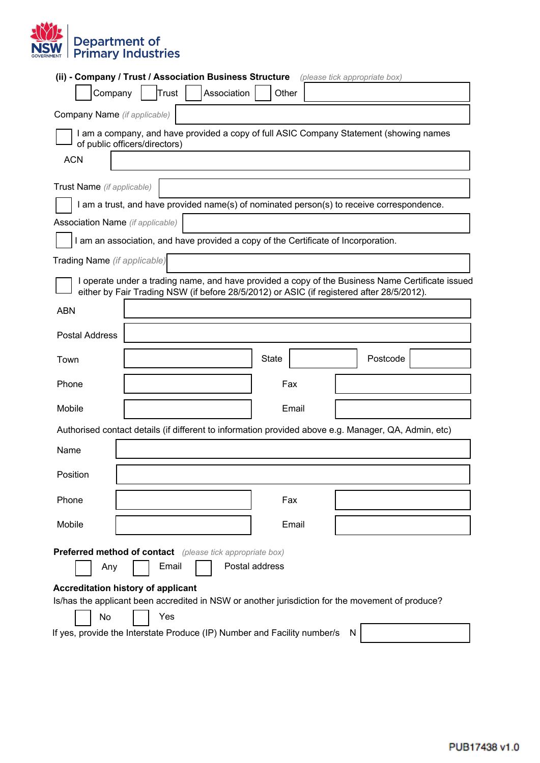

|                                                                                                               | (ii) - Company / Trust / Association Business Structure                                                                 |              | (please tick appropriate box)                                                                    |  |
|---------------------------------------------------------------------------------------------------------------|-------------------------------------------------------------------------------------------------------------------------|--------------|--------------------------------------------------------------------------------------------------|--|
| Company                                                                                                       | Trust<br>Association                                                                                                    | Other        |                                                                                                  |  |
| Company Name (if applicable)                                                                                  |                                                                                                                         |              |                                                                                                  |  |
|                                                                                                               | I am a company, and have provided a copy of full ASIC Company Statement (showing names<br>of public officers/directors) |              |                                                                                                  |  |
| <b>ACN</b>                                                                                                    |                                                                                                                         |              |                                                                                                  |  |
| Trust Name (if applicable)                                                                                    |                                                                                                                         |              |                                                                                                  |  |
|                                                                                                               | I am a trust, and have provided name(s) of nominated person(s) to receive correspondence.                               |              |                                                                                                  |  |
| <b>Association Name</b> (if applicable)                                                                       |                                                                                                                         |              |                                                                                                  |  |
|                                                                                                               | I am an association, and have provided a copy of the Certificate of Incorporation.                                      |              |                                                                                                  |  |
| Trading Name (if applicable)                                                                                  |                                                                                                                         |              |                                                                                                  |  |
|                                                                                                               | either by Fair Trading NSW (if before 28/5/2012) or ASIC (if registered after 28/5/2012).                               |              | I operate under a trading name, and have provided a copy of the Business Name Certificate issued |  |
| <b>ABN</b>                                                                                                    |                                                                                                                         |              |                                                                                                  |  |
| <b>Postal Address</b>                                                                                         |                                                                                                                         |              |                                                                                                  |  |
| Town                                                                                                          |                                                                                                                         | <b>State</b> | Postcode                                                                                         |  |
| Phone                                                                                                         |                                                                                                                         | Fax          |                                                                                                  |  |
| Mobile                                                                                                        |                                                                                                                         | Email        |                                                                                                  |  |
|                                                                                                               | Authorised contact details (if different to information provided above e.g. Manager, QA, Admin, etc)                    |              |                                                                                                  |  |
| Name                                                                                                          |                                                                                                                         |              |                                                                                                  |  |
| Position                                                                                                      |                                                                                                                         |              |                                                                                                  |  |
| Phone                                                                                                         |                                                                                                                         | Fax          |                                                                                                  |  |
| Mobile                                                                                                        |                                                                                                                         | Email        |                                                                                                  |  |
|                                                                                                               | <b>Preferred method of contact</b> (please tick appropriate box)                                                        |              |                                                                                                  |  |
| Email<br>Postal address<br>Any                                                                                |                                                                                                                         |              |                                                                                                  |  |
|                                                                                                               | <b>Accreditation history of applicant</b>                                                                               |              |                                                                                                  |  |
| Is/has the applicant been accredited in NSW or another jurisdiction for the movement of produce?<br>Yes<br>No |                                                                                                                         |              |                                                                                                  |  |
| If yes, provide the Interstate Produce (IP) Number and Facility number/s<br>N                                 |                                                                                                                         |              |                                                                                                  |  |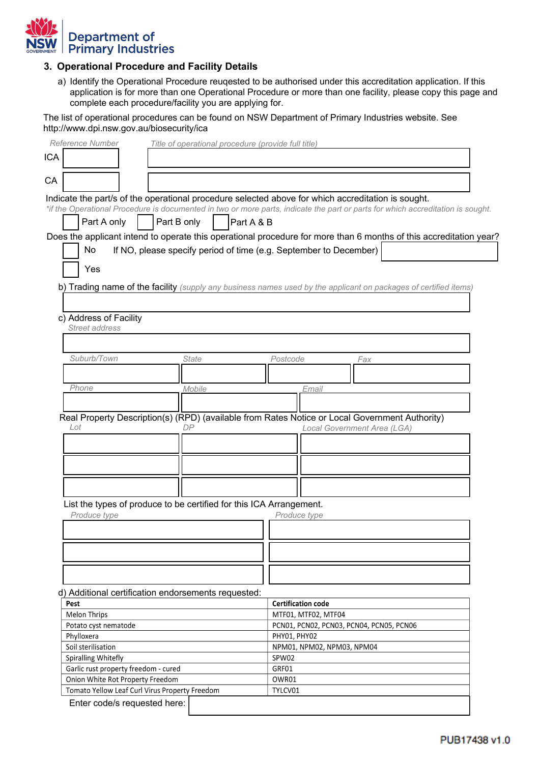

## **3. Operational Procedure and Facility Details**

a) Identify the Operational Procedure reuqested to be authorised under this accreditation application. If this application is for more than one Operational Procedure or more than one facility, please copy this page and complete each procedure/facility you are applying for.

The list of operational procedures can be found on NSW Department of Primary Industries website. See http://www.dpi.nsw.gov.au/biosecurity/ica

|                                                                                     | Title of operational procedure (provide full title) |                                                                                                                                 |
|-------------------------------------------------------------------------------------|-----------------------------------------------------|---------------------------------------------------------------------------------------------------------------------------------|
|                                                                                     |                                                     |                                                                                                                                 |
|                                                                                     |                                                     |                                                                                                                                 |
|                                                                                     |                                                     |                                                                                                                                 |
|                                                                                     |                                                     | Indicate the part/s of the operational procedure selected above for which accreditation is sought.                              |
|                                                                                     |                                                     | *if the Operational Procedure is documented in two or more parts, indicate the part or parts for which accreditation is sought. |
| Part A only                                                                         | Part B only                                         | Part A & B                                                                                                                      |
|                                                                                     |                                                     | Does the applicant intend to operate this operational procedure for more than 6 months of this accreditation year?              |
| No                                                                                  |                                                     | If NO, please specify period of time (e.g. September to December)                                                               |
|                                                                                     |                                                     |                                                                                                                                 |
| Yes                                                                                 |                                                     |                                                                                                                                 |
|                                                                                     |                                                     | b) Trading name of the facility (supply any business names used by the applicant on packages of certified items)                |
|                                                                                     |                                                     |                                                                                                                                 |
|                                                                                     |                                                     |                                                                                                                                 |
| c) Address of Facility                                                              |                                                     |                                                                                                                                 |
| Street address                                                                      |                                                     |                                                                                                                                 |
|                                                                                     |                                                     |                                                                                                                                 |
| Suburb/Town                                                                         | <b>State</b>                                        | Postcode<br>Fax                                                                                                                 |
|                                                                                     |                                                     |                                                                                                                                 |
| Phone                                                                               | Mobile                                              |                                                                                                                                 |
|                                                                                     |                                                     | Email                                                                                                                           |
|                                                                                     |                                                     |                                                                                                                                 |
|                                                                                     |                                                     |                                                                                                                                 |
|                                                                                     |                                                     |                                                                                                                                 |
| Lot                                                                                 | DP                                                  | Real Property Description(s) (RPD) (available from Rates Notice or Local Government Authority)                                  |
|                                                                                     |                                                     | Local Government Area (LGA)                                                                                                     |
|                                                                                     |                                                     |                                                                                                                                 |
|                                                                                     |                                                     |                                                                                                                                 |
|                                                                                     |                                                     |                                                                                                                                 |
|                                                                                     |                                                     |                                                                                                                                 |
|                                                                                     |                                                     |                                                                                                                                 |
|                                                                                     |                                                     |                                                                                                                                 |
| List the types of produce to be certified for this ICA Arrangement.<br>Produce type |                                                     | Produce type                                                                                                                    |
|                                                                                     |                                                     |                                                                                                                                 |
|                                                                                     |                                                     |                                                                                                                                 |
|                                                                                     |                                                     |                                                                                                                                 |
|                                                                                     |                                                     |                                                                                                                                 |
|                                                                                     |                                                     |                                                                                                                                 |
| d) Additional certification endorsements requested:                                 |                                                     |                                                                                                                                 |
| Pest                                                                                |                                                     | <b>Certification code</b>                                                                                                       |
| <b>Melon Thrips</b>                                                                 |                                                     | MTF01, MTF02, MTF04                                                                                                             |
| Potato cyst nematode                                                                |                                                     | PCN01, PCN02, PCN03, PCN04, PCN05, PCN06                                                                                        |
| Phylloxera                                                                          |                                                     | PHY01, PHY02                                                                                                                    |
| Soil sterilisation                                                                  |                                                     | NPM01, NPM02, NPM03, NPM04                                                                                                      |
| Spiralling Whitefly                                                                 |                                                     | SPW02                                                                                                                           |
| Garlic rust property freedom - cured                                                |                                                     | GRF01                                                                                                                           |
| Onion White Rot Property Freedom<br>Tomato Yellow Leaf Curl Virus Property Freedom  |                                                     | OWR01<br>TYLCV01                                                                                                                |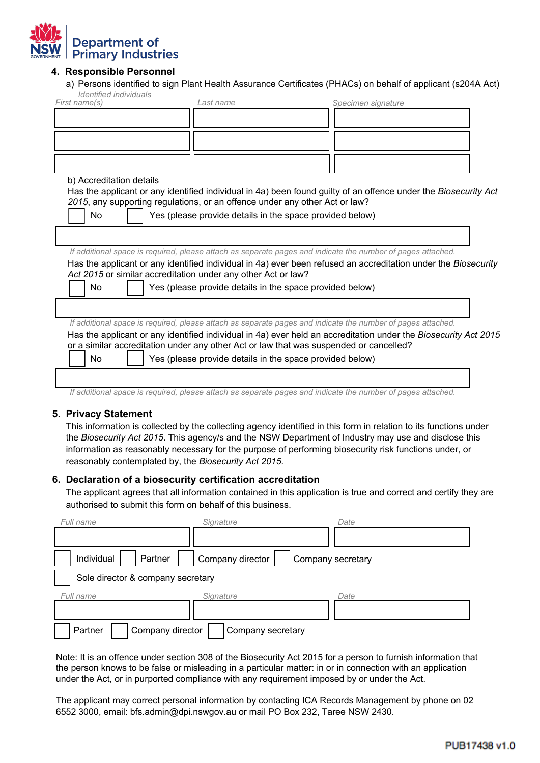

## **4. Responsible Personnel**

a) Persons identified to sign Plant Health Assurance Certificates (PHACs) on behalf of applicant (s204A Act) *Identified individuals*

| First name(s)                                                               | Last name                                                | Specimen signature                                                                                              |
|-----------------------------------------------------------------------------|----------------------------------------------------------|-----------------------------------------------------------------------------------------------------------------|
|                                                                             |                                                          |                                                                                                                 |
|                                                                             |                                                          |                                                                                                                 |
|                                                                             |                                                          |                                                                                                                 |
|                                                                             |                                                          |                                                                                                                 |
| b) Accreditation details                                                    |                                                          |                                                                                                                 |
| 2015, any supporting regulations, or an offence under any other Act or law? |                                                          | Has the applicant or any identified individual in 4a) been found guilty of an offence under the Biosecurity Act |
| <b>No</b>                                                                   | Yes (please provide details in the space provided below) |                                                                                                                 |
|                                                                             |                                                          |                                                                                                                 |
|                                                                             |                                                          |                                                                                                                 |
|                                                                             |                                                          | If additional space is required, please attach as separate pages and indicate the number of pages attached.     |
|                                                                             |                                                          | Has the applicant or any identified individual in 4a) ever been refused an accreditation under the Biosecurity  |
| Act 2015 or similar accreditation under any other Act or law?               |                                                          |                                                                                                                 |
| No.                                                                         | Yes (please provide details in the space provided below) |                                                                                                                 |
|                                                                             |                                                          |                                                                                                                 |
|                                                                             |                                                          |                                                                                                                 |
|                                                                             |                                                          | If additional space is required, please attach as separate pages and indicate the number of pages attached.     |
|                                                                             |                                                          |                                                                                                                 |
|                                                                             |                                                          | Has the applicant or any identified individual in 4a) ever held an accreditation under the Biosecurity Act 2015 |
|                                                                             |                                                          | or a similar accreditation under any other Act or law that was suspended or cancelled?                          |

*If additional space is required, please attach as separate pages and indicate the number of pages attached.*

### **5. Privacy Statement**

This information is collected by the collecting agency identified in this form in relation to its functions under the *Biosecurity Act 2015*. This agency/s and the NSW Department of Industry may use and disclose this information as reasonably necessary for the purpose of performing biosecurity risk functions under, or reasonably contemplated by, the *Biosecurity Act 2015*.

### **6. Declaration of a biosecurity certification accreditation**

The applicant agrees that all information contained in this application is true and correct and certify they are authorised to submit this form on behalf of this business.

| Full name                         | Signature                             | Date |
|-----------------------------------|---------------------------------------|------|
|                                   |                                       |      |
| Partner<br>Individual             | Company director<br>Company secretary |      |
| Sole director & company secretary |                                       |      |
| Full name                         | Signature                             | Date |
|                                   |                                       |      |
| Company director<br>Partner       | Company secretary                     |      |

Note: It is an offence under section 308 of the Biosecurity Act 2015 for a person to furnish information that the person knows to be false or misleading in a particular matter: in or in connection with an application under the Act, or in purported compliance with any requirement imposed by or under the Act.

The applicant may correct personal information by contacting ICA Records Management by phone on 02 6552 3000, email: bfs.admin@dpi.nswgov.au or mail PO Box 232, Taree NSW 2430.